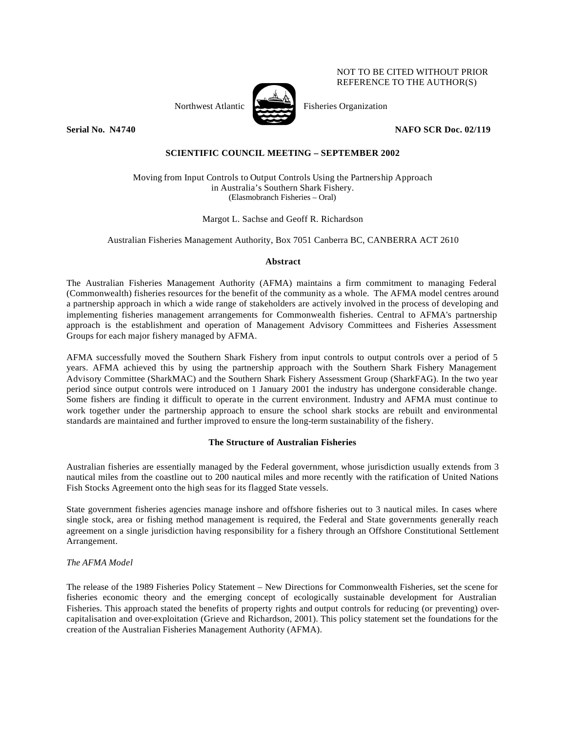Northwest Atlantic Fisheries Organization

REFERENCE TO THE AUTHOR(S)

NOT TO BE CITED WITHOUT PRIOR

**Serial No. N4740 NAFO SCR Doc. 02/119**

# **SCIENTIFIC COUNCIL MEETING – SEPTEMBER 2002**

Moving from Input Controls to Output Controls Using the Partnership Approach in Australia's Southern Shark Fishery. (Elasmobranch Fisheries – Oral)

# Margot L. Sachse and Geoff R. Richardson

Australian Fisheries Management Authority, Box 7051 Canberra BC, CANBERRA ACT 2610

### **Abstract**

The Australian Fisheries Management Authority (AFMA) maintains a firm commitment to managing Federal (Commonwealth) fisheries resources for the benefit of the community as a whole. The AFMA model centres around a partnership approach in which a wide range of stakeholders are actively involved in the process of developing and implementing fisheries management arrangements for Commonwealth fisheries. Central to AFMA's partnership approach is the establishment and operation of Management Advisory Committees and Fisheries Assessment Groups for each major fishery managed by AFMA.

AFMA successfully moved the Southern Shark Fishery from input controls to output controls over a period of 5 years. AFMA achieved this by using the partnership approach with the Southern Shark Fishery Management Advisory Committee (SharkMAC) and the Southern Shark Fishery Assessment Group (SharkFAG). In the two year period since output controls were introduced on 1 January 2001 the industry has undergone considerable change. Some fishers are finding it difficult to operate in the current environment. Industry and AFMA must continue to work together under the partnership approach to ensure the school shark stocks are rebuilt and environmental standards are maintained and further improved to ensure the long-term sustainability of the fishery.

# **The Structure of Australian Fisheries**

Australian fisheries are essentially managed by the Federal government, whose jurisdiction usually extends from 3 nautical miles from the coastline out to 200 nautical miles and more recently with the ratification of United Nations Fish Stocks Agreement onto the high seas for its flagged State vessels.

State government fisheries agencies manage inshore and offshore fisheries out to 3 nautical miles. In cases where single stock, area or fishing method management is required, the Federal and State governments generally reach agreement on a single jurisdiction having responsibility for a fishery through an Offshore Constitutional Settlement Arrangement.

# *The AFMA Model*

The release of the 1989 Fisheries Policy Statement – New Directions for Commonwealth Fisheries, set the scene for fisheries economic theory and the emerging concept of ecologically sustainable development for Australian Fisheries. This approach stated the benefits of property rights and output controls for reducing (or preventing) overcapitalisation and over-exploitation (Grieve and Richardson, 2001). This policy statement set the foundations for the creation of the Australian Fisheries Management Authority (AFMA).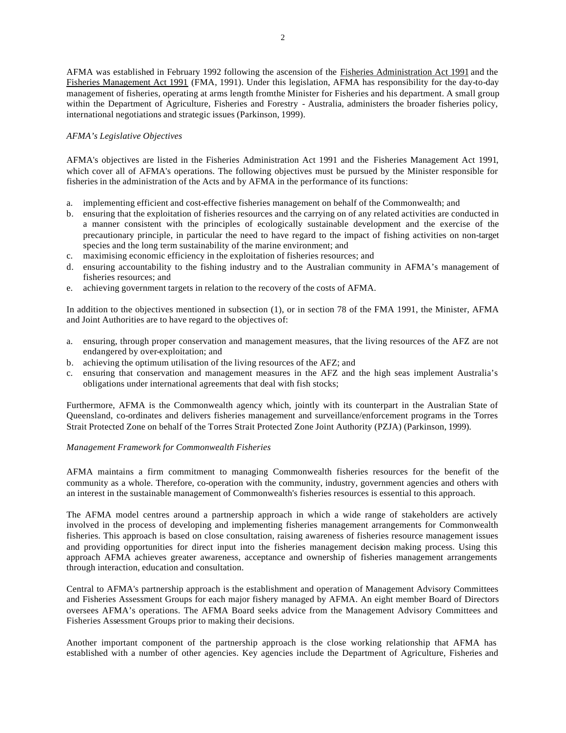AFMA was established in February 1992 following the ascension of the Fisheries Administration Act 1991 and the Fisheries Management Act 1991 (FMA, 1991). Under this legislation, AFMA has responsibility for the day-to-day management of fisheries, operating at arms length from the Minister for Fisheries and his department. A small group within the Department of Agriculture, Fisheries and Forestry - Australia, administers the broader fisheries policy, international negotiations and strategic issues (Parkinson, 1999).

## *AFMA's Legislative Objectives*

AFMA's objectives are listed in the Fisheries Administration Act 1991 and the Fisheries Management Act 1991, which cover all of AFMA's operations. The following objectives must be pursued by the Minister responsible for fisheries in the administration of the Acts and by AFMA in the performance of its functions:

- a. implementing efficient and cost-effective fisheries management on behalf of the Commonwealth; and
- b. ensuring that the exploitation of fisheries resources and the carrying on of any related activities are conducted in a manner consistent with the principles of ecologically sustainable development and the exercise of the precautionary principle, in particular the need to have regard to the impact of fishing activities on non-target species and the long term sustainability of the marine environment; and
- c. maximising economic efficiency in the exploitation of fisheries resources; and
- d. ensuring accountability to the fishing industry and to the Australian community in AFMA's management of fisheries resources; and
- e. achieving government targets in relation to the recovery of the costs of AFMA.

In addition to the objectives mentioned in subsection (1), or in section 78 of the FMA 1991, the Minister, AFMA and Joint Authorities are to have regard to the objectives of:

- a. ensuring, through proper conservation and management measures, that the living resources of the AFZ are not endangered by over-exploitation; and
- b. achieving the optimum utilisation of the living resources of the AFZ; and
- c. ensuring that conservation and management measures in the AFZ and the high seas implement Australia's obligations under international agreements that deal with fish stocks;

Furthermore, AFMA is the Commonwealth agency which, jointly with its counterpart in the Australian State of Queensland, co-ordinates and delivers fisheries management and surveillance/enforcement programs in the Torres Strait Protected Zone on behalf of the Torres Strait Protected Zone Joint Authority (PZJA) (Parkinson, 1999).

### *Management Framework for Commonwealth Fisheries*

AFMA maintains a firm commitment to managing Commonwealth fisheries resources for the benefit of the community as a whole. Therefore, co-operation with the community, industry, government agencies and others with an interest in the sustainable management of Commonwealth's fisheries resources is essential to this approach.

The AFMA model centres around a partnership approach in which a wide range of stakeholders are actively involved in the process of developing and implementing fisheries management arrangements for Commonwealth fisheries. This approach is based on close consultation, raising awareness of fisheries resource management issues and providing opportunities for direct input into the fisheries management decision making process. Using this approach AFMA achieves greater awareness, acceptance and ownership of fisheries management arrangements through interaction, education and consultation.

Central to AFMA's partnership approach is the establishment and operation of Management Advisory Committees and Fisheries Assessment Groups for each major fishery managed by AFMA. An eight member Board of Directors oversees AFMA's operations. The AFMA Board seeks advice from the Management Advisory Committees and Fisheries Assessment Groups prior to making their decisions.

Another important component of the partnership approach is the close working relationship that AFMA has established with a number of other agencies. Key agencies include the Department of Agriculture, Fisheries and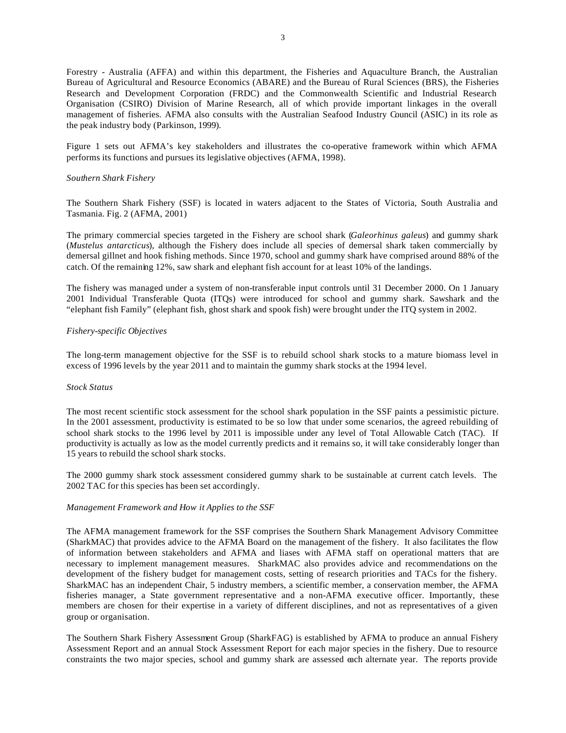Forestry - Australia (AFFA) and within this department, the Fisheries and Aquaculture Branch, the Australian Bureau of Agricultural and Resource Economics (ABARE) and the Bureau of Rural Sciences (BRS), the Fisheries Research and Development Corporation (FRDC) and the Commonwealth Scientific and Industrial Research Organisation (CSIRO) Division of Marine Research, all of which provide important linkages in the overall management of fisheries. AFMA also consults with the Australian Seafood Industry Council (ASIC) in its role as the peak industry body (Parkinson, 1999).

Figure 1 sets out AFMA's key stakeholders and illustrates the co-operative framework within which AFMA performs its functions and pursues its legislative objectives (AFMA, 1998).

### *Southern Shark Fishery*

The Southern Shark Fishery (SSF) is located in waters adjacent to the States of Victoria, South Australia and Tasmania. Fig. 2 (AFMA, 2001)

The primary commercial species targeted in the Fishery are school shark (*Galeorhinus galeus*) and gummy shark (*Mustelus antarcticus*), although the Fishery does include all species of demersal shark taken commercially by demersal gillnet and hook fishing methods. Since 1970, school and gummy shark have comprised around 88% of the catch. Of the remaining 12%, saw shark and elephant fish account for at least 10% of the landings.

The fishery was managed under a system of non-transferable input controls until 31 December 2000. On 1 January 2001 Individual Transferable Quota (ITQs) were introduced for school and gummy shark. Sawshark and the "elephant fish Family" (elephant fish, ghost shark and spook fish) were brought under the ITQ system in 2002.

### *Fishery-specific Objectives*

The long-term management objective for the SSF is to rebuild school shark stocks to a mature biomass level in excess of 1996 levels by the year 2011 and to maintain the gummy shark stocks at the 1994 level.

## *Stock Status*

The most recent scientific stock assessment for the school shark population in the SSF paints a pessimistic picture. In the 2001 assessment, productivity is estimated to be so low that under some scenarios, the agreed rebuilding of school shark stocks to the 1996 level by 2011 is impossible under any level of Total Allowable Catch (TAC). If productivity is actually as low as the model currently predicts and it remains so, it will take considerably longer than 15 years to rebuild the school shark stocks.

The 2000 gummy shark stock assessment considered gummy shark to be sustainable at current catch levels. The 2002 TAC for this species has been set accordingly.

#### *Management Framework and How it Applies to the SSF*

The AFMA management framework for the SSF comprises the Southern Shark Management Advisory Committee (SharkMAC) that provides advice to the AFMA Board on the management of the fishery. It also facilitates the flow of information between stakeholders and AFMA and liases with AFMA staff on operational matters that are necessary to implement management measures. SharkMAC also provides advice and recommendations on the development of the fishery budget for management costs, setting of research priorities and TACs for the fishery. SharkMAC has an independent Chair, 5 industry members, a scientific member, a conservation member, the AFMA fisheries manager, a State government representative and a non-AFMA executive officer. Importantly, these members are chosen for their expertise in a variety of different disciplines, and not as representatives of a given group or organisation.

The Southern Shark Fishery Assessment Group (SharkFAG) is established by AFMA to produce an annual Fishery Assessment Report and an annual Stock Assessment Report for each major species in the fishery. Due to resource constraints the two major species, school and gummy shark are assessed each alternate year. The reports provide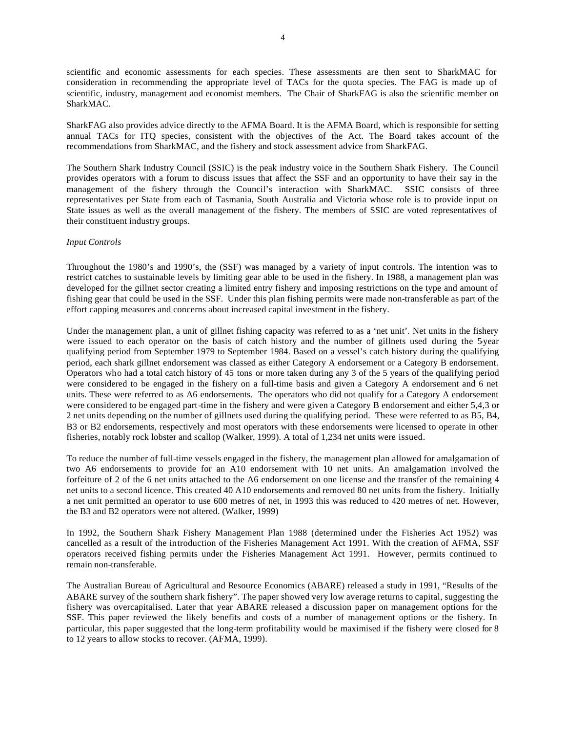scientific and economic assessments for each species. These assessments are then sent to SharkMAC for consideration in recommending the appropriate level of TACs for the quota species. The FAG is made up of scientific, industry, management and economist members. The Chair of SharkFAG is also the scientific member on SharkMAC.

SharkFAG also provides advice directly to the AFMA Board. It is the AFMA Board, which is responsible for setting annual TACs for ITQ species, consistent with the objectives of the Act. The Board takes account of the recommendations from SharkMAC, and the fishery and stock assessment advice from SharkFAG.

The Southern Shark Industry Council (SSIC) is the peak industry voice in the Southern Shark Fishery. The Council provides operators with a forum to discuss issues that affect the SSF and an opportunity to have their say in the management of the fishery through the Council's interaction with SharkMAC. SSIC consists of three representatives per State from each of Tasmania, South Australia and Victoria whose role is to provide input on State issues as well as the overall management of the fishery. The members of SSIC are voted representatives of their constituent industry groups.

#### *Input Controls*

Throughout the 1980's and 1990's, the (SSF) was managed by a variety of input controls. The intention was to restrict catches to sustainable levels by limiting gear able to be used in the fishery. In 1988, a management plan was developed for the gillnet sector creating a limited entry fishery and imposing restrictions on the type and amount of fishing gear that could be used in the SSF. Under this plan fishing permits were made non-transferable as part of the effort capping measures and concerns about increased capital investment in the fishery.

Under the management plan, a unit of gillnet fishing capacity was referred to as a 'net unit'. Net units in the fishery were issued to each operator on the basis of catch history and the number of gillnets used during the 5year qualifying period from September 1979 to September 1984. Based on a vessel's catch history during the qualifying period, each shark gillnet endorsement was classed as either Category A endorsement or a Category B endorsement. Operators who had a total catch history of 45 tons or more taken during any 3 of the 5 years of the qualifying period were considered to be engaged in the fishery on a full-time basis and given a Category A endorsement and 6 net units. These were referred to as A6 endorsements. The operators who did not qualify for a Category A endorsement were considered to be engaged part-time in the fishery and were given a Category B endorsement and either 5,4,3 or 2 net units depending on the number of gillnets used during the qualifying period. These were referred to as B5, B4, B3 or B2 endorsements, respectively and most operators with these endorsements were licensed to operate in other fisheries, notably rock lobster and scallop (Walker, 1999). A total of 1,234 net units were issued.

To reduce the number of full-time vessels engaged in the fishery, the management plan allowed for amalgamation of two A6 endorsements to provide for an A10 endorsement with 10 net units. An amalgamation involved the forfeiture of 2 of the 6 net units attached to the A6 endorsement on one license and the transfer of the remaining 4 net units to a second licence. This created 40 A10 endorsements and removed 80 net units from the fishery. Initially a net unit permitted an operator to use 600 metres of net, in 1993 this was reduced to 420 metres of net. However, the B3 and B2 operators were not altered. (Walker, 1999)

In 1992, the Southern Shark Fishery Management Plan 1988 (determined under the Fisheries Act 1952) was cancelled as a result of the introduction of the Fisheries Management Act 1991. With the creation of AFMA, SSF operators received fishing permits under the Fisheries Management Act 1991. However, permits continued to remain non-transferable.

The Australian Bureau of Agricultural and Resource Economics (ABARE) released a study in 1991, "Results of the ABARE survey of the southern shark fishery". The paper showed very low average returns to capital, suggesting the fishery was overcapitalised. Later that year ABARE released a discussion paper on management options for the SSF. This paper reviewed the likely benefits and costs of a number of management options or the fishery. In particular, this paper suggested that the long-term profitability would be maximised if the fishery were closed for 8 to 12 years to allow stocks to recover. (AFMA, 1999).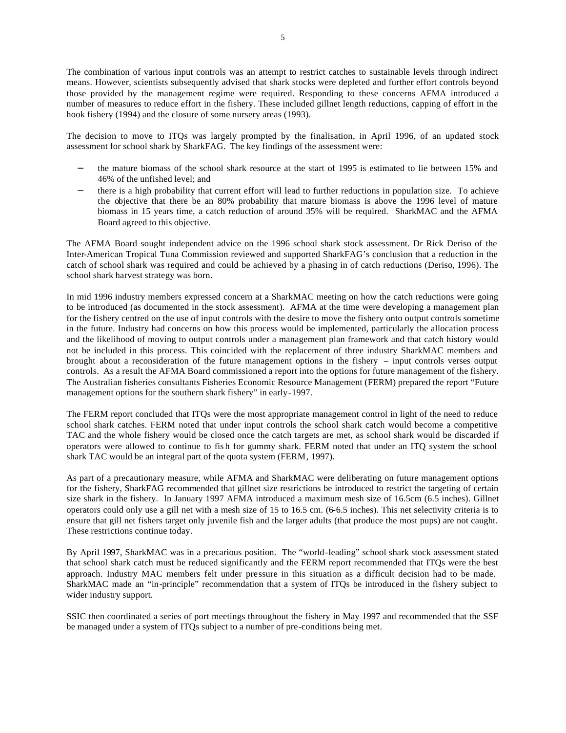The combination of various input controls was an attempt to restrict catches to sustainable levels through indirect means. However, scientists subsequently advised that shark stocks were depleted and further effort controls beyond those provided by the management regime were required. Responding to these concerns AFMA introduced a number of measures to reduce effort in the fishery. These included gillnet length reductions, capping of effort in the hook fishery (1994) and the closure of some nursery areas (1993).

The decision to move to ITQs was largely prompted by the finalisation, in April 1996, of an updated stock assessment for school shark by SharkFAG. The key findings of the assessment were:

- the mature biomass of the school shark resource at the start of 1995 is estimated to lie between 15% and 46% of the unfished level; and
- − there is a high probability that current effort will lead to further reductions in population size. To achieve the objective that there be an 80% probability that mature biomass is above the 1996 level of mature biomass in 15 years time, a catch reduction of around 35% will be required. SharkMAC and the AFMA Board agreed to this objective.

The AFMA Board sought independent advice on the 1996 school shark stock assessment. Dr Rick Deriso of the Inter-American Tropical Tuna Commission reviewed and supported SharkFAG's conclusion that a reduction in the catch of school shark was required and could be achieved by a phasing in of catch reductions (Deriso, 1996). The school shark harvest strategy was born.

In mid 1996 industry members expressed concern at a SharkMAC meeting on how the catch reductions were going to be introduced (as documented in the stock assessment). AFMA at the time were developing a management plan for the fishery centred on the use of input controls with the desire to move the fishery onto output controls sometime in the future. Industry had concerns on how this process would be implemented, particularly the allocation process and the likelihood of moving to output controls under a management plan framework and that catch history would not be included in this process. This coincided with the replacement of three industry SharkMAC members and brought about a reconsideration of the future management options in the fishery – input controls verses output controls. As a result the AFMA Board commissioned a report into the options for future management of the fishery. The Australian fisheries consultants Fisheries Economic Resource Management (FERM) prepared the report "Future management options for the southern shark fishery" in early-1997.

The FERM report concluded that ITQs were the most appropriate management control in light of the need to reduce school shark catches. FERM noted that under input controls the school shark catch would become a competitive TAC and the whole fishery would be closed once the catch targets are met, as school shark would be discarded if operators were allowed to continue to fis h for gummy shark. FERM noted that under an ITQ system the school shark TAC would be an integral part of the quota system (FERM, 1997).

As part of a precautionary measure, while AFMA and SharkMAC were deliberating on future management options for the fishery, SharkFAG recommended that gillnet size restrictions be introduced to restrict the targeting of certain size shark in the fishery. In January 1997 AFMA introduced a maximum mesh size of 16.5cm (6.5 inches). Gillnet operators could only use a gill net with a mesh size of 15 to 16.5 cm. (6-6.5 inches). This net selectivity criteria is to ensure that gill net fishers target only juvenile fish and the larger adults (that produce the most pups) are not caught. These restrictions continue today.

By April 1997, SharkMAC was in a precarious position. The "world-leading" school shark stock assessment stated that school shark catch must be reduced significantly and the FERM report recommended that ITQs were the best approach. Industry MAC members felt under pressure in this situation as a difficult decision had to be made. SharkMAC made an "in-principle" recommendation that a system of ITQs be introduced in the fishery subject to wider industry support.

SSIC then coordinated a series of port meetings throughout the fishery in May 1997 and recommended that the SSF be managed under a system of ITQs subject to a number of pre-conditions being met.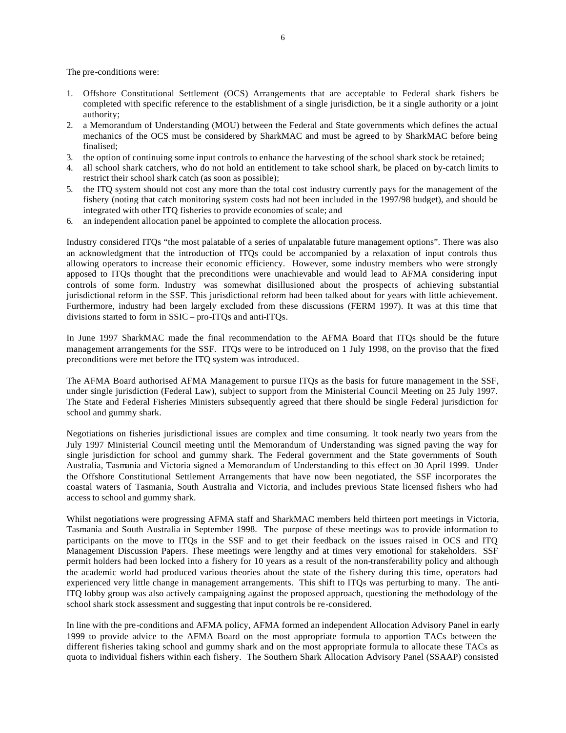The pre-conditions were:

- 1. Offshore Constitutional Settlement (OCS) Arrangements that are acceptable to Federal shark fishers be completed with specific reference to the establishment of a single jurisdiction, be it a single authority or a joint authority;
- 2. a Memorandum of Understanding (MOU) between the Federal and State governments which defines the actual mechanics of the OCS must be considered by SharkMAC and must be agreed to by SharkMAC before being finalised;
- 3. the option of continuing some input controls to enhance the harvesting of the school shark stock be retained;
- 4. all school shark catchers, who do not hold an entitlement to take school shark, be placed on by-catch limits to restrict their school shark catch (as soon as possible);
- 5. the ITQ system should not cost any more than the total cost industry currently pays for the management of the fishery (noting that catch monitoring system costs had not been included in the 1997/98 budget), and should be integrated with other ITQ fisheries to provide economies of scale; and
- 6. an independent allocation panel be appointed to complete the allocation process.

Industry considered ITQs "the most palatable of a series of unpalatable future management options". There was also an acknowledgment that the introduction of ITQs could be accompanied by a relaxation of input controls thus allowing operators to increase their economic efficiency. However, some industry members who were strongly apposed to ITQs thought that the preconditions were unachievable and would lead to AFMA considering input controls of some form. Industry was somewhat disillusioned about the prospects of achieving substantial jurisdictional reform in the SSF. This jurisdictional reform had been talked about for years with little achievement. Furthermore, industry had been largely excluded from these discussions (FERM 1997). It was at this time that divisions started to form in SSIC – pro-ITQs and anti-ITQs.

In June 1997 SharkMAC made the final recommendation to the AFMA Board that ITQs should be the future management arrangements for the SSF. ITQs were to be introduced on 1 July 1998, on the proviso that the fixed preconditions were met before the ITQ system was introduced.

The AFMA Board authorised AFMA Management to pursue ITQs as the basis for future management in the SSF, under single jurisdiction (Federal Law), subject to support from the Ministerial Council Meeting on 25 July 1997. The State and Federal Fisheries Ministers subsequently agreed that there should be single Federal jurisdiction for school and gummy shark.

Negotiations on fisheries jurisdictional issues are complex and time consuming. It took nearly two years from the July 1997 Ministerial Council meeting until the Memorandum of Understanding was signed paving the way for single jurisdiction for school and gummy shark. The Federal government and the State governments of South Australia, Tasmania and Victoria signed a Memorandum of Understanding to this effect on 30 April 1999. Under the Offshore Constitutional Settlement Arrangements that have now been negotiated, the SSF incorporates the coastal waters of Tasmania, South Australia and Victoria, and includes previous State licensed fishers who had access to school and gummy shark.

Whilst negotiations were progressing AFMA staff and SharkMAC members held thirteen port meetings in Victoria, Tasmania and South Australia in September 1998. The purpose of these meetings was to provide information to participants on the move to ITQs in the SSF and to get their feedback on the issues raised in OCS and ITQ Management Discussion Papers. These meetings were lengthy and at times very emotional for stakeholders. SSF permit holders had been locked into a fishery for 10 years as a result of the non-transferability policy and although the academic world had produced various theories about the state of the fishery during this time, operators had experienced very little change in management arrangements. This shift to ITQs was perturbing to many. The anti-ITQ lobby group was also actively campaigning against the proposed approach, questioning the methodology of the school shark stock assessment and suggesting that input controls be re-considered.

In line with the pre-conditions and AFMA policy, AFMA formed an independent Allocation Advisory Panel in early 1999 to provide advice to the AFMA Board on the most appropriate formula to apportion TACs between the different fisheries taking school and gummy shark and on the most appropriate formula to allocate these TACs as quota to individual fishers within each fishery. The Southern Shark Allocation Advisory Panel (SSAAP) consisted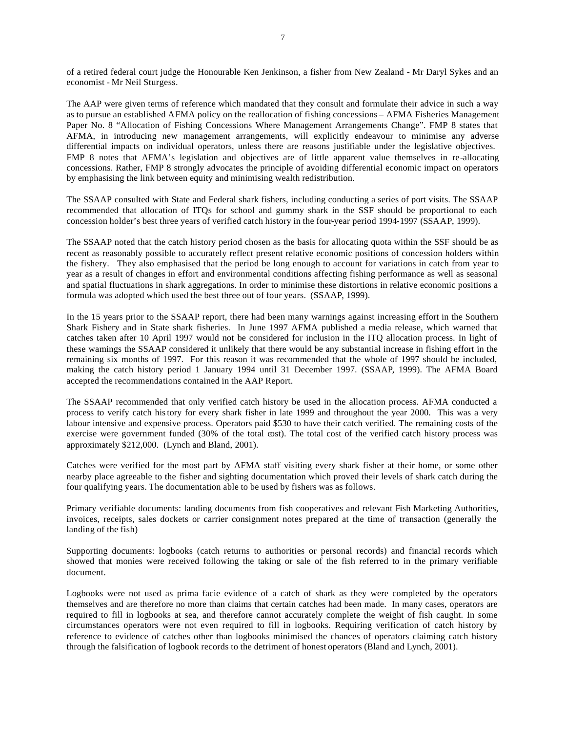of a retired federal court judge the Honourable Ken Jenkinson, a fisher from New Zealand - Mr Daryl Sykes and an economist - Mr Neil Sturgess.

The AAP were given terms of reference which mandated that they consult and formulate their advice in such a way as to pursue an established AFMA policy on the reallocation of fishing concessions – AFMA Fisheries Management Paper No. 8 "Allocation of Fishing Concessions Where Management Arrangements Change". FMP 8 states that AFMA, in introducing new management arrangements, will explicitly endeavour to minimise any adverse differential impacts on individual operators, unless there are reasons justifiable under the legislative objectives. FMP 8 notes that AFMA's legislation and objectives are of little apparent value themselves in re-allocating concessions. Rather, FMP 8 strongly advocates the principle of avoiding differential economic impact on operators by emphasising the link between equity and minimising wealth redistribution.

The SSAAP consulted with State and Federal shark fishers, including conducting a series of port visits. The SSAAP recommended that allocation of ITQs for school and gummy shark in the SSF should be proportional to each concession holder's best three years of verified catch history in the four-year period 1994-1997 (SSAAP, 1999).

The SSAAP noted that the catch history period chosen as the basis for allocating quota within the SSF should be as recent as reasonably possible to accurately reflect present relative economic positions of concession holders within the fishery. They also emphasised that the period be long enough to account for variations in catch from year to year as a result of changes in effort and environmental conditions affecting fishing performance as well as seasonal and spatial fluctuations in shark aggregations. In order to minimise these distortions in relative economic positions a formula was adopted which used the best three out of four years. (SSAAP, 1999).

In the 15 years prior to the SSAAP report, there had been many warnings against increasing effort in the Southern Shark Fishery and in State shark fisheries. In June 1997 AFMA published a media release, which warned that catches taken after 10 April 1997 would not be considered for inclusion in the ITQ allocation process. In light of these warnings the SSAAP considered it unlikely that there would be any substantial increase in fishing effort in the remaining six months of 1997. For this reason it was recommended that the whole of 1997 should be included, making the catch history period 1 January 1994 until 31 December 1997. (SSAAP, 1999). The AFMA Board accepted the recommendations contained in the AAP Report.

The SSAAP recommended that only verified catch history be used in the allocation process. AFMA conducted a process to verify catch history for every shark fisher in late 1999 and throughout the year 2000. This was a very labour intensive and expensive process. Operators paid \$530 to have their catch verified. The remaining costs of the exercise were government funded (30% of the total cost). The total cost of the verified catch history process was approximately \$212,000. (Lynch and Bland, 2001).

Catches were verified for the most part by AFMA staff visiting every shark fisher at their home, or some other nearby place agreeable to the fisher and sighting documentation which proved their levels of shark catch during the four qualifying years. The documentation able to be used by fishers was as follows.

Primary verifiable documents: landing documents from fish cooperatives and relevant Fish Marketing Authorities, invoices, receipts, sales dockets or carrier consignment notes prepared at the time of transaction (generally the landing of the fish)

Supporting documents: logbooks (catch returns to authorities or personal records) and financial records which showed that monies were received following the taking or sale of the fish referred to in the primary verifiable document.

Logbooks were not used as prima facie evidence of a catch of shark as they were completed by the operators themselves and are therefore no more than claims that certain catches had been made. In many cases, operators are required to fill in logbooks at sea, and therefore cannot accurately complete the weight of fish caught. In some circumstances operators were not even required to fill in logbooks. Requiring verification of catch history by reference to evidence of catches other than logbooks minimised the chances of operators claiming catch history through the falsification of logbook records to the detriment of honest operators (Bland and Lynch, 2001).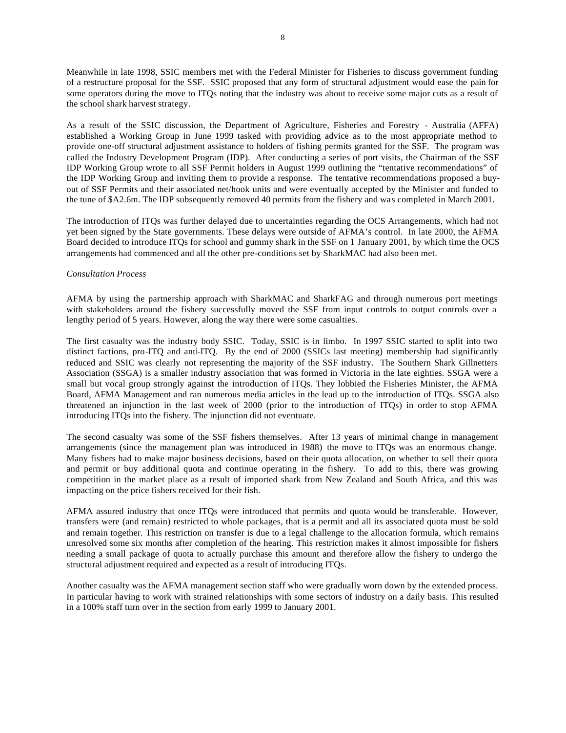Meanwhile in late 1998, SSIC members met with the Federal Minister for Fisheries to discuss government funding of a restructure proposal for the SSF. SSIC proposed that any form of structural adjustment would ease the pain for some operators during the move to ITQs noting that the industry was about to receive some major cuts as a result of the school shark harvest strategy.

As a result of the SSIC discussion, the Department of Agriculture, Fisheries and Forestry - Australia (AFFA) established a Working Group in June 1999 tasked with providing advice as to the most appropriate method to provide one-off structural adjustment assistance to holders of fishing permits granted for the SSF. The program was called the Industry Development Program (IDP). After conducting a series of port visits, the Chairman of the SSF IDP Working Group wrote to all SSF Permit holders in August 1999 outlining the "tentative recommendations" of the IDP Working Group and inviting them to provide a response. The tentative recommendations proposed a buyout of SSF Permits and their associated net/hook units and were eventually accepted by the Minister and funded to the tune of \$A2.6m. The IDP subsequently removed 40 permits from the fishery and was completed in March 2001.

The introduction of ITQs was further delayed due to uncertainties regarding the OCS Arrangements, which had not yet been signed by the State governments. These delays were outside of AFMA's control. In late 2000, the AFMA Board decided to introduce ITQs for school and gummy shark in the SSF on 1 January 2001, by which time the OCS arrangements had commenced and all the other pre-conditions set by SharkMAC had also been met.

### *Consultation Process*

AFMA by using the partnership approach with SharkMAC and SharkFAG and through numerous port meetings with stakeholders around the fishery successfully moved the SSF from input controls to output controls over a lengthy period of 5 years. However, along the way there were some casualties.

The first casualty was the industry body SSIC. Today, SSIC is in limbo. In 1997 SSIC started to split into two distinct factions, pro-ITQ and anti-ITQ. By the end of 2000 (SSICs last meeting) membership had significantly reduced and SSIC was clearly not representing the majority of the SSF industry. The Southern Shark Gillnetters Association (SSGA) is a smaller industry association that was formed in Victoria in the late eighties. SSGA were a small but vocal group strongly against the introduction of ITQs. They lobbied the Fisheries Minister, the AFMA Board, AFMA Management and ran numerous media articles in the lead up to the introduction of ITQs. SSGA also threatened an injunction in the last week of 2000 (prior to the introduction of ITQs) in order to stop AFMA introducing ITQs into the fishery. The injunction did not eventuate.

The second casualty was some of the SSF fishers themselves. After 13 years of minimal change in management arrangements (since the management plan was introduced in 1988) the move to ITQs was an enormous change. Many fishers had to make major business decisions, based on their quota allocation, on whether to sell their quota and permit or buy additional quota and continue operating in the fishery. To add to this, there was growing competition in the market place as a result of imported shark from New Zealand and South Africa, and this was impacting on the price fishers received for their fish.

AFMA assured industry that once ITQs were introduced that permits and quota would be transferable. However, transfers were (and remain) restricted to whole packages, that is a permit and all its associated quota must be sold and remain together. This restriction on transfer is due to a legal challenge to the allocation formula, which remains unresolved some six months after completion of the hearing. This restriction makes it almost impossible for fishers needing a small package of quota to actually purchase this amount and therefore allow the fishery to undergo the structural adjustment required and expected as a result of introducing ITQs.

Another casualty was the AFMA management section staff who were gradually worn down by the extended process. In particular having to work with strained relationships with some sectors of industry on a daily basis. This resulted in a 100% staff turn over in the section from early 1999 to January 2001.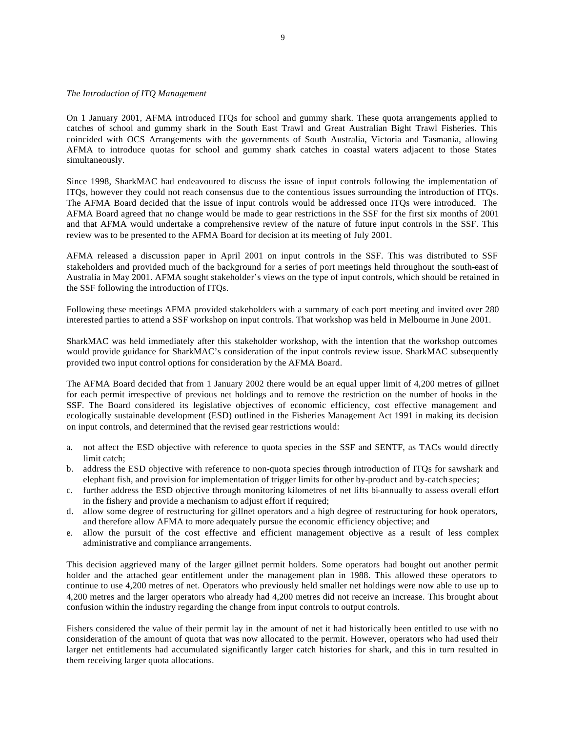#### *The Introduction of ITQ Management*

On 1 January 2001, AFMA introduced ITQs for school and gummy shark. These quota arrangements applied to catches of school and gummy shark in the South East Trawl and Great Australian Bight Trawl Fisheries. This coincided with OCS Arrangements with the governments of South Australia, Victoria and Tasmania, allowing AFMA to introduce quotas for school and gummy shark catches in coastal waters adjacent to those States simultaneously.

Since 1998, SharkMAC had endeavoured to discuss the issue of input controls following the implementation of ITQs, however they could not reach consensus due to the contentious issues surrounding the introduction of ITQs. The AFMA Board decided that the issue of input controls would be addressed once ITQs were introduced. The AFMA Board agreed that no change would be made to gear restrictions in the SSF for the first six months of 2001 and that AFMA would undertake a comprehensive review of the nature of future input controls in the SSF. This review was to be presented to the AFMA Board for decision at its meeting of July 2001.

AFMA released a discussion paper in April 2001 on input controls in the SSF. This was distributed to SSF stakeholders and provided much of the background for a series of port meetings held throughout the south-east of Australia in May 2001. AFMA sought stakeholder's views on the type of input controls, which should be retained in the SSF following the introduction of ITQs.

Following these meetings AFMA provided stakeholders with a summary of each port meeting and invited over 280 interested parties to attend a SSF workshop on input controls. That workshop was held in Melbourne in June 2001.

SharkMAC was held immediately after this stakeholder workshop, with the intention that the workshop outcomes would provide guidance for SharkMAC's consideration of the input controls review issue. SharkMAC subsequently provided two input control options for consideration by the AFMA Board.

The AFMA Board decided that from 1 January 2002 there would be an equal upper limit of 4,200 metres of gillnet for each permit irrespective of previous net holdings and to remove the restriction on the number of hooks in the SSF. The Board considered its legislative objectives of economic efficiency, cost effective management and ecologically sustainable development (ESD) outlined in the Fisheries Management Act 1991 in making its decision on input controls, and determined that the revised gear restrictions would:

- a. not affect the ESD objective with reference to quota species in the SSF and SENTF, as TACs would directly limit catch;
- b. address the ESD objective with reference to non-quota species through introduction of ITQs for sawshark and elephant fish, and provision for implementation of trigger limits for other by-product and by-catch species;
- c. further address the ESD objective through monitoring kilometres of net lifts bi-annually to assess overall effort in the fishery and provide a mechanism to adjust effort if required;
- d. allow some degree of restructuring for gillnet operators and a high degree of restructuring for hook operators, and therefore allow AFMA to more adequately pursue the economic efficiency objective; and
- e. allow the pursuit of the cost effective and efficient management objective as a result of less complex administrative and compliance arrangements.

This decision aggrieved many of the larger gillnet permit holders. Some operators had bought out another permit holder and the attached gear entitlement under the management plan in 1988. This allowed these operators to continue to use 4,200 metres of net. Operators who previously held smaller net holdings were now able to use up to 4,200 metres and the larger operators who already had 4,200 metres did not receive an increase. This brought about confusion within the industry regarding the change from input controls to output controls.

Fishers considered the value of their permit lay in the amount of net it had historically been entitled to use with no consideration of the amount of quota that was now allocated to the permit. However, operators who had used their larger net entitlements had accumulated significantly larger catch histories for shark, and this in turn resulted in them receiving larger quota allocations.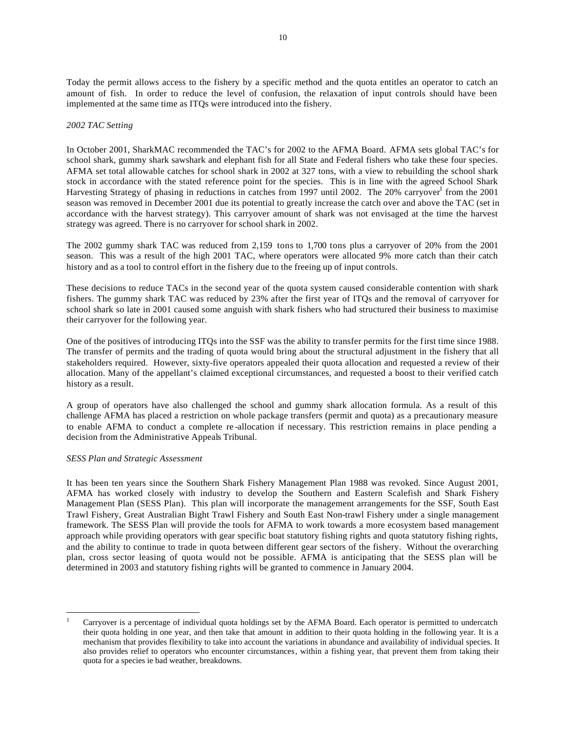Today the permit allows access to the fishery by a specific method and the quota entitles an operator to catch an amount of fish. In order to reduce the level of confusion, the relaxation of input controls should have been implemented at the same time as ITQs were introduced into the fishery.

#### *2002 TAC Setting*

In October 2001, SharkMAC recommended the TAC's for 2002 to the AFMA Board. AFMA sets global TAC's for school shark, gummy shark sawshark and elephant fish for all State and Federal fishers who take these four species. AFMA set total allowable catches for school shark in 2002 at 327 tons, with a view to rebuilding the school shark stock in accordance with the stated reference point for the species. This is in line with the agreed School Shark Harvesting Strategy of phasing in reductions in catches from 1997 until 2002. The 20% carryover<sup>1</sup> from the 2001 season was removed in December 2001 due its potential to greatly increase the catch over and above the TAC (set in accordance with the harvest strategy). This carryover amount of shark was not envisaged at the time the harvest strategy was agreed. There is no carryover for school shark in 2002.

The 2002 gummy shark TAC was reduced from 2,159 tons to 1,700 tons plus a carryover of 20% from the 2001 season. This was a result of the high 2001 TAC, where operators were allocated 9% more catch than their catch history and as a tool to control effort in the fishery due to the freeing up of input controls.

These decisions to reduce TACs in the second year of the quota system caused considerable contention with shark fishers. The gummy shark TAC was reduced by 23% after the first year of ITQs and the removal of carryover for school shark so late in 2001 caused some anguish with shark fishers who had structured their business to maximise their carryover for the following year.

One of the positives of introducing ITQs into the SSF was the ability to transfer permits for the first time since 1988. The transfer of permits and the trading of quota would bring about the structural adjustment in the fishery that all stakeholders required. However, sixty-five operators appealed their quota allocation and requested a review of their allocation. Many of the appellant's claimed exceptional circumstances, and requested a boost to their verified catch history as a result.

A group of operators have also challenged the school and gummy shark allocation formula. As a result of this challenge AFMA has placed a restriction on whole package transfers (permit and quota) as a precautionary measure to enable AFMA to conduct a complete re -allocation if necessary. This restriction remains in place pending a decision from the Administrative Appeals Tribunal.

#### *SESS Plan and Strategic Assessment*

 $\overline{a}$ 

It has been ten years since the Southern Shark Fishery Management Plan 1988 was revoked. Since August 2001, AFMA has worked closely with industry to develop the Southern and Eastern Scalefish and Shark Fishery Management Plan (SESS Plan). This plan will incorporate the management arrangements for the SSF, South East Trawl Fishery, Great Australian Bight Trawl Fishery and South East Non-trawl Fishery under a single management framework. The SESS Plan will provide the tools for AFMA to work towards a more ecosystem based management approach while providing operators with gear specific boat statutory fishing rights and quota statutory fishing rights, and the ability to continue to trade in quota between different gear sectors of the fishery. Without the overarching plan, cross sector leasing of quota would not be possible. AFMA is anticipating that the SESS plan will be determined in 2003 and statutory fishing rights will be granted to commence in January 2004.

<sup>1</sup> Carryover is a percentage of individual quota holdings set by the AFMA Board. Each operator is permitted to undercatch their quota holding in one year, and then take that amount in addition to their quota holding in the following year. It is a mechanism that provides flexibility to take into account the variations in abundance and availability of individual species. It also provides relief to operators who encounter circumstances, within a fishing year, that prevent them from taking their quota for a species ie bad weather, breakdowns.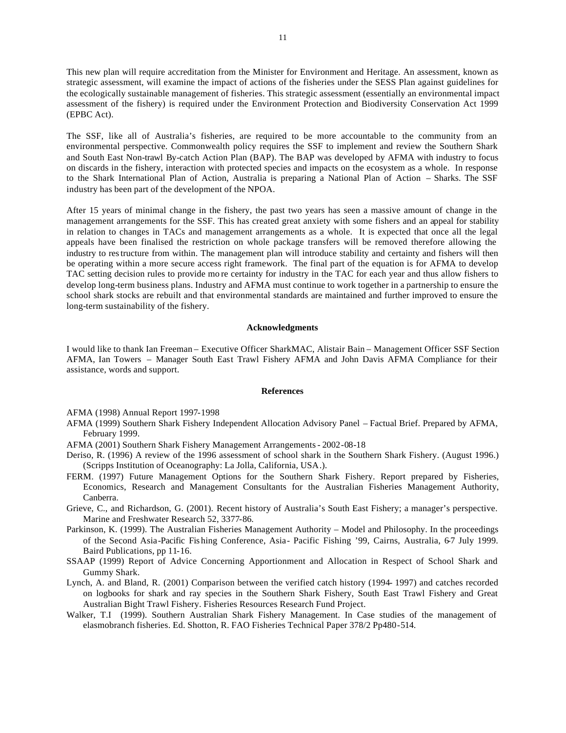This new plan will require accreditation from the Minister for Environment and Heritage. An assessment, known as strategic assessment, will examine the impact of actions of the fisheries under the SESS Plan against guidelines for the ecologically sustainable management of fisheries. This strategic assessment (essentially an environmental impact assessment of the fishery) is required under the Environment Protection and Biodiversity Conservation Act 1999 (EPBC Act).

The SSF, like all of Australia's fisheries, are required to be more accountable to the community from an environmental perspective. Commonwealth policy requires the SSF to implement and review the Southern Shark and South East Non-trawl By-catch Action Plan (BAP). The BAP was developed by AFMA with industry to focus on discards in the fishery, interaction with protected species and impacts on the ecosystem as a whole. In response to the Shark International Plan of Action, Australia is preparing a National Plan of Action – Sharks. The SSF industry has been part of the development of the NPOA.

After 15 years of minimal change in the fishery, the past two years has seen a massive amount of change in the management arrangements for the SSF. This has created great anxiety with some fishers and an appeal for stability in relation to changes in TACs and management arrangements as a whole. It is expected that once all the legal appeals have been finalised the restriction on whole package transfers will be removed therefore allowing the industry to restructure from within. The management plan will introduce stability and certainty and fishers will then be operating within a more secure access right framework. The final part of the equation is for AFMA to develop TAC setting decision rules to provide mo re certainty for industry in the TAC for each year and thus allow fishers to develop long-term business plans. Industry and AFMA must continue to work together in a partnership to ensure the school shark stocks are rebuilt and that environmental standards are maintained and further improved to ensure the long-term sustainability of the fishery.

#### **Acknowledgments**

I would like to thank Ian Freeman – Executive Officer SharkMAC, Alistair Bain – Management Officer SSF Section AFMA, Ian Towers – Manager South East Trawl Fishery AFMA and John Davis AFMA Compliance for their assistance, words and support.

#### **References**

AFMA (1998) Annual Report 1997-1998

- AFMA (1999) Southern Shark Fishery Independent Allocation Advisory Panel Factual Brief. Prepared by AFMA, February 1999.
- AFMA (2001) Southern Shark Fishery Management Arrangements 2002-08-18
- Deriso, R. (1996) A review of the 1996 assessment of school shark in the Southern Shark Fishery. (August 1996.) (Scripps Institution of Oceanography: La Jolla, California, USA.).
- FERM. (1997) Future Management Options for the Southern Shark Fishery. Report prepared by Fisheries, Economics, Research and Management Consultants for the Australian Fisheries Management Authority, Canberra.
- Grieve, C., and Richardson, G. (2001). Recent history of Australia's South East Fishery; a manager's perspective. Marine and Freshwater Research 52, 3377-86.
- Parkinson, K. (1999). The Australian Fisheries Management Authority Model and Philosophy. In the proceedings of the Second Asia-Pacific Fis hing Conference, Asia- Pacific Fishing '99, Cairns, Australia, 6-7 July 1999. Baird Publications, pp 11-16.
- SSAAP (1999) Report of Advice Concerning Apportionment and Allocation in Respect of School Shark and Gummy Shark.
- Lynch, A. and Bland, R. (2001) Comparison between the verified catch history (1994- 1997) and catches recorded on logbooks for shark and ray species in the Southern Shark Fishery, South East Trawl Fishery and Great Australian Bight Trawl Fishery. Fisheries Resources Research Fund Project.
- Walker, T.I (1999). Southern Australian Shark Fishery Management. In Case studies of the management of elasmobranch fisheries. Ed. Shotton, R. FAO Fisheries Technical Paper 378/2 Pp480-514.